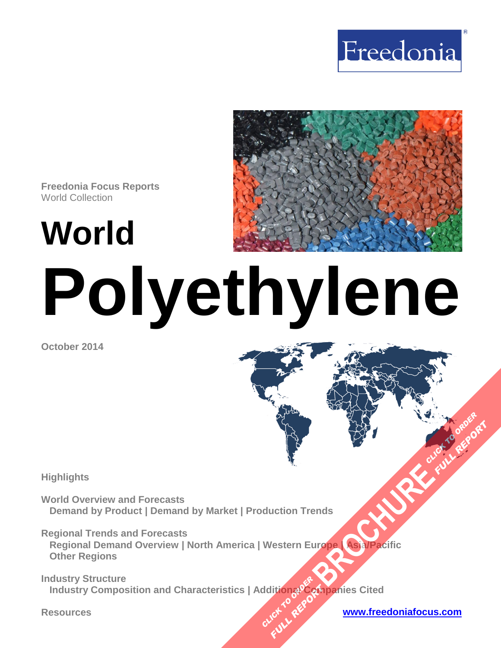



**Freedonia Focus Reports** World Collection

**World**

# **Polyethylene**

**October 2014**

**Highlights** 

**World Overview and Forecasts Demand by Product | Demand by Market | Production Trends** 

**Regional Trends and Forecasts Regional Demand Overview | North America | Western Europe | Asia/Pacific Other Regions [BROCHURE](http://www.freedoniagroup.com/FocusDetails.aspx?ReferrerId=FM-FocusBro&ReportID=FW55017) CLICK TO ORDER**<br>BROCHURE CLICK TO ORDER

**Industry Structure Industry Composition and Characteristics | Additional Companies Cited CLICK TO REPORT FULL REPORT** 

#### **Resources [www.freedoniafocus.com](http://www.freedoniagroup.com/FocusReports.aspx?ReferrerId=FM-FocusBro)**

**FULL REPORT**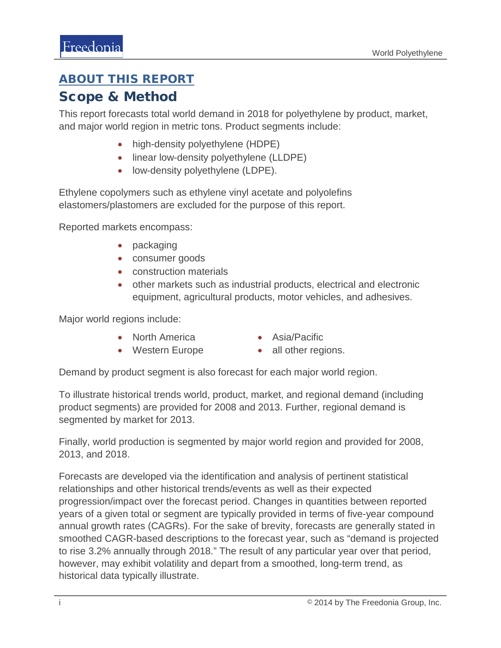### <span id="page-1-0"></span>ABOUT THIS REPORT

### Scope & Method

This report forecasts total world demand in 2018 for polyethylene by product, market, and major world region in metric tons. Product segments include:

- high-density polyethylene (HDPE)
- linear low-density polyethylene (LLDPE)
- low-density polyethylene (LDPE).

Ethylene copolymers such as ethylene vinyl acetate and polyolefins elastomers/plastomers are excluded for the purpose of this report.

Reported markets encompass:

- packaging
- consumer goods
- construction materials
- other markets such as industrial products, electrical and electronic equipment, agricultural products, motor vehicles, and adhesives.

Major world regions include:

- North America
- Asia/Pacific
- Western Europe
- all other regions.

Demand by product segment is also forecast for each major world region.

To illustrate historical trends world, product, market, and regional demand (including product segments) are provided for 2008 and 2013. Further, regional demand is segmented by market for 2013.

Finally, world production is segmented by major world region and provided for 2008, 2013, and 2018.

Forecasts are developed via the identification and analysis of pertinent statistical relationships and other historical trends/events as well as their expected progression/impact over the forecast period. Changes in quantities between reported years of a given total or segment are typically provided in terms of five-year compound annual growth rates (CAGRs). For the sake of brevity, forecasts are generally stated in smoothed CAGR-based descriptions to the forecast year, such as "demand is projected to rise 3.2% annually through 2018." The result of any particular year over that period, however, may exhibit volatility and depart from a smoothed, long-term trend, as historical data typically illustrate.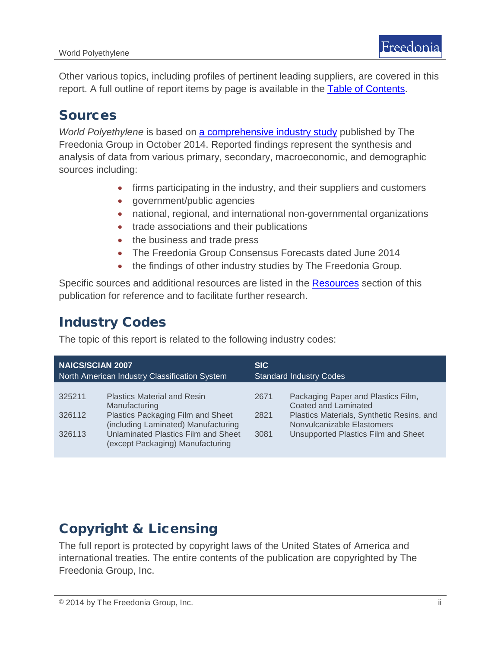Other various topics, including profiles of pertinent leading suppliers, are covered in this report. A full outline of report items by page is available in the [Table of Contents.](#page-3-0)

## Sources

*World Polyethylene* is based on [a comprehensive industry study](http://www.freedoniagroup.com/DocumentDetails.aspx?ReferrerId=FL-FOCUS&studyid=3210) published by The Freedonia Group in October 2014. Reported findings represent the synthesis and analysis of data from various primary, secondary, macroeconomic, and demographic sources including:

- firms participating in the industry, and their suppliers and customers
- government/public agencies
- national, regional, and international non-governmental organizations
- trade associations and their publications
- the business and trade press
- The Freedonia Group Consensus Forecasts dated June 2014
- the findings of other industry studies by The Freedonia Group.

Specific sources and additional resources are listed in the Resources section of this publication for reference and to facilitate further research.

# Industry Codes

The topic of this report is related to the following industry codes:

| <b>NAICS/SCIAN 2007</b><br>North American Industry Classification System |                                     | <b>SIC</b><br><b>Standard Industry Codes</b> |                                           |
|--------------------------------------------------------------------------|-------------------------------------|----------------------------------------------|-------------------------------------------|
|                                                                          |                                     |                                              |                                           |
| 325211                                                                   | <b>Plastics Material and Resin</b>  | 2671                                         | Packaging Paper and Plastics Film,        |
|                                                                          | Manufacturing                       |                                              | Coated and Laminated                      |
| 326112                                                                   | Plastics Packaging Film and Sheet   | 2821                                         | Plastics Materials, Synthetic Resins, and |
|                                                                          | (including Laminated) Manufacturing |                                              | Nonvulcanizable Elastomers                |
| 326113                                                                   | Unlaminated Plastics Film and Sheet | 3081                                         | Unsupported Plastics Film and Sheet       |
|                                                                          | (except Packaging) Manufacturing    |                                              |                                           |

# Copyright & Licensing

The full report is protected by copyright laws of the United States of America and international treaties. The entire contents of the publication are copyrighted by The Freedonia Group, Inc.